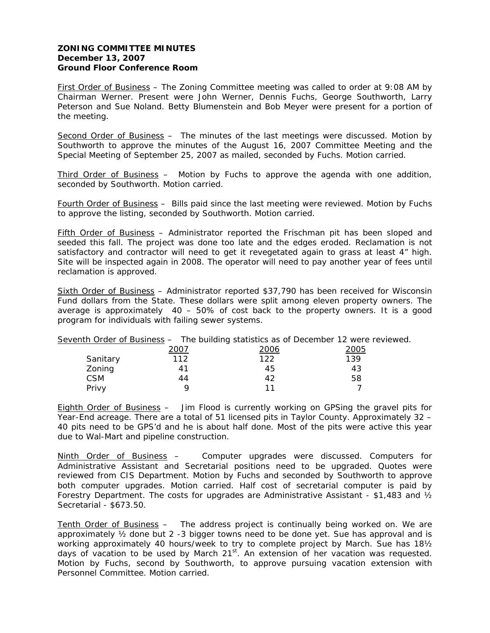## **ZONING COMMITTEE MINUTES December 13, 2007 Ground Floor Conference Room**

First Order of Business – The Zoning Committee meeting was called to order at 9:08 AM by Chairman Werner. Present were John Werner, Dennis Fuchs, George Southworth, Larry Peterson and Sue Noland. Betty Blumenstein and Bob Meyer were present for a portion of the meeting.

Second Order of Business – The minutes of the last meetings were discussed. Motion by Southworth to approve the minutes of the August 16, 2007 Committee Meeting and the Special Meeting of September 25, 2007 as mailed, seconded by Fuchs. Motion carried.

Third Order of Business – Motion by Fuchs to approve the agenda with one addition, seconded by Southworth. Motion carried.

Fourth Order of Business – Bills paid since the last meeting were reviewed. Motion by Fuchs to approve the listing, seconded by Southworth. Motion carried.

Fifth Order of Business - Administrator reported the Frischman pit has been sloped and seeded this fall. The project was done too late and the edges eroded. Reclamation is not satisfactory and contractor will need to get it revegetated again to grass at least 4" high. Site will be inspected again in 2008. The operator will need to pay another year of fees until reclamation is approved.

Sixth Order of Business – Administrator reported \$37,790 has been received for Wisconsin Fund dollars from the State. These dollars were split among eleven property owners. The average is approximately 40 – 50% of cost back to the property owners. It is a good program for individuals with failing sewer systems.

|            |      | Seventh Order of Business - The building statistics as of December 12 were reviewed. |              |  |
|------------|------|--------------------------------------------------------------------------------------|--------------|--|
|            | 2007 | 2006                                                                                 | <u> 2005</u> |  |
| Sanitary   | 112  | 122                                                                                  | 139          |  |
| Zoning     | 41   | 45                                                                                   | 43           |  |
| <b>CSM</b> | 44   | 42                                                                                   | 58           |  |
| Privy      |      |                                                                                      |              |  |

Eighth Order of Business – Jim Flood is currently working on GPSing the gravel pits for Year-End acreage. There are a total of 51 licensed pits in Taylor County. Approximately 32 – 40 pits need to be GPS'd and he is about half done. Most of the pits were active this year due to Wal-Mart and pipeline construction.

Ninth Order of Business - Computer upgrades were discussed. Computers for Administrative Assistant and Secretarial positions need to be upgraded. Quotes were reviewed from CIS Department. Motion by Fuchs and seconded by Southworth to approve both computer upgrades. Motion carried. Half cost of secretarial computer is paid by Forestry Department. The costs for upgrades are Administrative Assistant - \$1,483 and  $\frac{1}{2}$ Secretarial - \$673.50.

Tenth Order of Business – The address project is continually being worked on. We are approximately  $\frac{1}{2}$  done but 2 -3 bigger towns need to be done yet. Sue has approval and is working approximately 40 hours/week to try to complete project by March. Sue has 18½ days of vacation to be used by March  $21^{st}$ . An extension of her vacation was requested. Motion by Fuchs, second by Southworth, to approve pursuing vacation extension with Personnel Committee. Motion carried.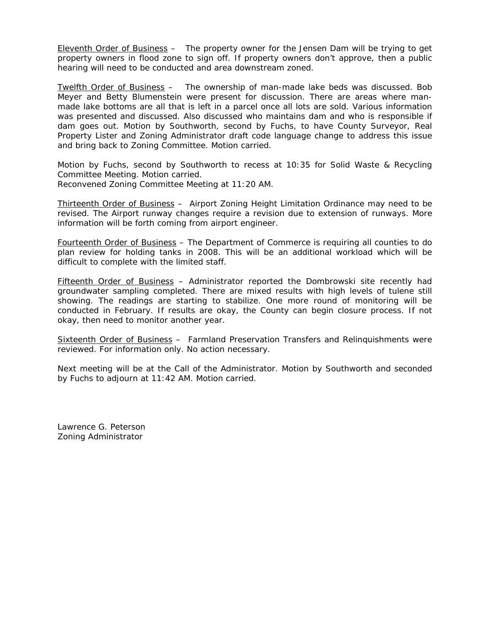Eleventh Order of Business – The property owner for the Jensen Dam will be trying to get property owners in flood zone to sign off. If property owners don't approve, then a public hearing will need to be conducted and area downstream zoned.

Twelfth Order of Business – The ownership of man-made lake beds was discussed. Bob Meyer and Betty Blumenstein were present for discussion. There are areas where manmade lake bottoms are all that is left in a parcel once all lots are sold. Various information was presented and discussed. Also discussed who maintains dam and who is responsible if dam goes out. Motion by Southworth, second by Fuchs, to have County Surveyor, Real Property Lister and Zoning Administrator draft code language change to address this issue and bring back to Zoning Committee. Motion carried.

Motion by Fuchs, second by Southworth to recess at 10:35 for Solid Waste & Recycling Committee Meeting. Motion carried. Reconvened Zoning Committee Meeting at 11:20 AM.

Thirteenth Order of Business – Airport Zoning Height Limitation Ordinance may need to be revised. The Airport runway changes require a revision due to extension of runways. More information will be forth coming from airport engineer.

Fourteenth Order of Business – The Department of Commerce is requiring all counties to do plan review for holding tanks in 2008. This will be an additional workload which will be difficult to complete with the limited staff.

Fifteenth Order of Business - Administrator reported the Dombrowski site recently had groundwater sampling completed. There are mixed results with high levels of tulene still showing. The readings are starting to stabilize. One more round of monitoring will be conducted in February. If results are okay, the County can begin closure process. If not okay, then need to monitor another year.

Sixteenth Order of Business – Farmland Preservation Transfers and Relinquishments were reviewed. For information only. No action necessary.

Next meeting will be at the Call of the Administrator. Motion by Southworth and seconded by Fuchs to adjourn at 11:42 AM. Motion carried.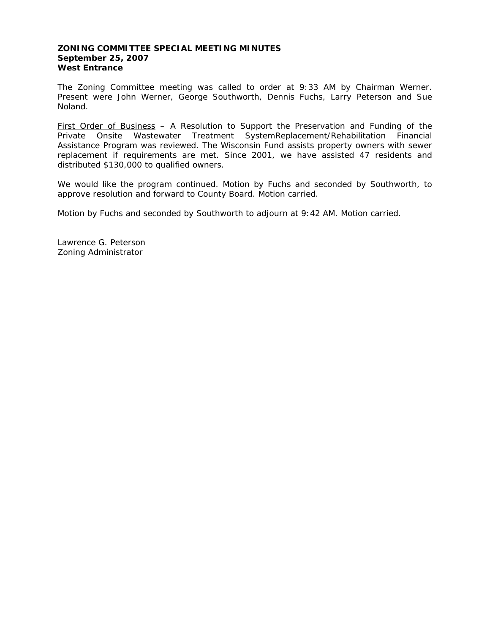### **ZONING COMMITTEE SPECIAL MEETING MINUTES September 25, 2007 West Entrance**

The Zoning Committee meeting was called to order at 9:33 AM by Chairman Werner. Present were John Werner, George Southworth, Dennis Fuchs, Larry Peterson and Sue Noland.

First Order of Business – A Resolution to Support the Preservation and Funding of the Private Onsite Wastewater Treatment SystemReplacement/Rehabilitation Financial Assistance Program was reviewed. The Wisconsin Fund assists property owners with sewer replacement if requirements are met. Since 2001, we have assisted 47 residents and distributed \$130,000 to qualified owners.

We would like the program continued. Motion by Fuchs and seconded by Southworth, to approve resolution and forward to County Board. Motion carried.

Motion by Fuchs and seconded by Southworth to adjourn at 9:42 AM. Motion carried.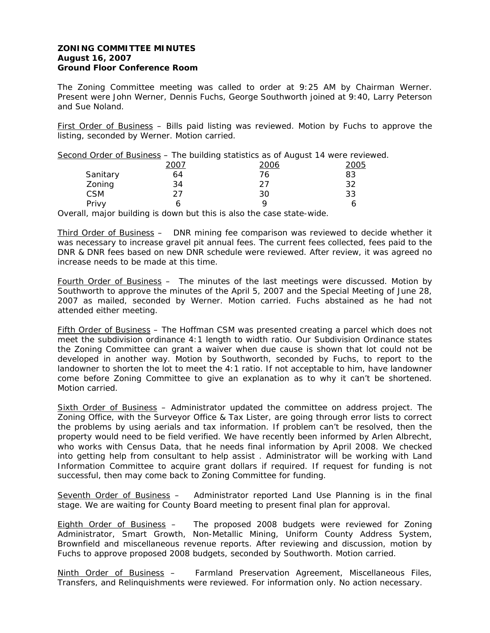## **ZONING COMMITTEE MINUTES August 16, 2007 Ground Floor Conference Room**

The Zoning Committee meeting was called to order at 9:25 AM by Chairman Werner. Present were John Werner, Dennis Fuchs, George Southworth joined at 9:40, Larry Peterson and Sue Noland.

First Order of Business – Bills paid listing was reviewed. Motion by Fuchs to approve the listing, seconded by Werner. Motion carried.

| Second Order of Business - The building statistics as of August 14 were reviewed. |      |      |      |  |  |  |
|-----------------------------------------------------------------------------------|------|------|------|--|--|--|
|                                                                                   | 2007 | 2006 | 2005 |  |  |  |
| Sanitary                                                                          | 64   | 76   | 83   |  |  |  |
| Zoning                                                                            | 34   | フフ   | 32   |  |  |  |
| <b>CSM</b>                                                                        | つフ   | 30   | 33   |  |  |  |
| Privy                                                                             |      |      |      |  |  |  |

Overall, major building is down but this is also the case state-wide.

Third Order of Business – DNR mining fee comparison was reviewed to decide whether it was necessary to increase gravel pit annual fees. The current fees collected, fees paid to the DNR & DNR fees based on new DNR schedule were reviewed. After review, it was agreed no increase needs to be made at this time.

Fourth Order of Business - The minutes of the last meetings were discussed. Motion by Southworth to approve the minutes of the April 5, 2007 and the Special Meeting of June 28, 2007 as mailed, seconded by Werner. Motion carried. Fuchs abstained as he had not attended either meeting.

Fifth Order of Business – The Hoffman CSM was presented creating a parcel which does not meet the subdivision ordinance 4:1 length to width ratio. Our Subdivision Ordinance states the Zoning Committee can grant a waiver when due cause is shown that lot could not be developed in another way. Motion by Southworth, seconded by Fuchs, to report to the landowner to shorten the lot to meet the 4:1 ratio. If not acceptable to him, have landowner come before Zoning Committee to give an explanation as to why it can't be shortened. Motion carried.

Sixth Order of Business – Administrator updated the committee on address project. The Zoning Office, with the Surveyor Office & Tax Lister, are going through error lists to correct the problems by using aerials and tax information. If problem can't be resolved, then the property would need to be field verified. We have recently been informed by Arlen Albrecht, who works with Census Data, that he needs final information by April 2008. We checked into getting help from consultant to help assist . Administrator will be working with Land Information Committee to acquire grant dollars if required. If request for funding is not successful, then may come back to Zoning Committee for funding.

Seventh Order of Business – Administrator reported Land Use Planning is in the final stage. We are waiting for County Board meeting to present final plan for approval.

Eighth Order of Business – The proposed 2008 budgets were reviewed for Zoning Administrator, Smart Growth, Non-Metallic Mining, Uniform County Address System, Brownfield and miscellaneous revenue reports. After reviewing and discussion, motion by Fuchs to approve proposed 2008 budgets, seconded by Southworth. Motion carried.

Ninth Order of Business - Farmland Preservation Agreement, Miscellaneous Files, Transfers, and Relinquishments were reviewed. For information only. No action necessary.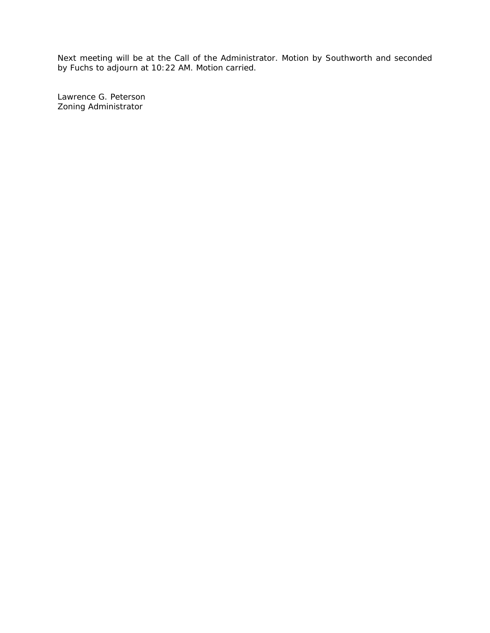Next meeting will be at the Call of the Administrator. Motion by Southworth and seconded by Fuchs to adjourn at 10:22 AM. Motion carried.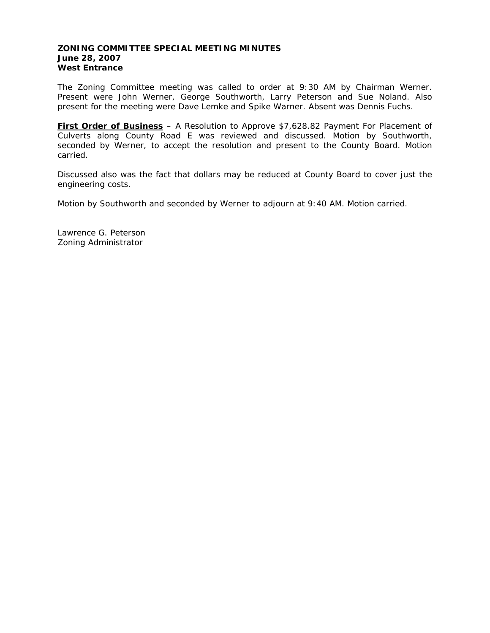### **ZONING COMMITTEE SPECIAL MEETING MINUTES June 28, 2007 West Entrance**

The Zoning Committee meeting was called to order at 9:30 AM by Chairman Werner. Present were John Werner, George Southworth, Larry Peterson and Sue Noland. Also present for the meeting were Dave Lemke and Spike Warner. Absent was Dennis Fuchs.

**First Order of Business** – A Resolution to Approve \$7,628.82 Payment For Placement of Culverts along County Road E was reviewed and discussed. Motion by Southworth, seconded by Werner, to accept the resolution and present to the County Board. Motion carried.

Discussed also was the fact that dollars may be reduced at County Board to cover just the engineering costs.

Motion by Southworth and seconded by Werner to adjourn at 9:40 AM. Motion carried.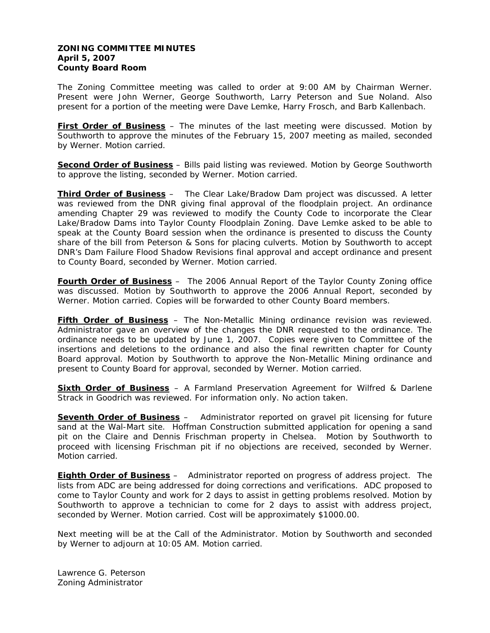## **ZONING COMMITTEE MINUTES April 5, 2007 County Board Room**

The Zoning Committee meeting was called to order at 9:00 AM by Chairman Werner. Present were John Werner, George Southworth, Larry Peterson and Sue Noland. Also present for a portion of the meeting were Dave Lemke, Harry Frosch, and Barb Kallenbach.

**First Order of Business** – The minutes of the last meeting were discussed. Motion by Southworth to approve the minutes of the February 15, 2007 meeting as mailed, seconded by Werner. Motion carried.

**Second Order of Business** – Bills paid listing was reviewed. Motion by George Southworth to approve the listing, seconded by Werner. Motion carried.

**Third Order of Business** – The Clear Lake/Bradow Dam project was discussed. A letter was reviewed from the DNR giving final approval of the floodplain project. An ordinance amending Chapter 29 was reviewed to modify the County Code to incorporate the Clear Lake/Bradow Dams into Taylor County Floodplain Zoning. Dave Lemke asked to be able to speak at the County Board session when the ordinance is presented to discuss the County share of the bill from Peterson & Sons for placing culverts. Motion by Southworth to accept DNR's Dam Failure Flood Shadow Revisions final approval and accept ordinance and present to County Board, seconded by Werner. Motion carried.

**Fourth Order of Business** – The 2006 Annual Report of the Taylor County Zoning office was discussed. Motion by Southworth to approve the 2006 Annual Report, seconded by Werner. Motion carried. Copies will be forwarded to other County Board members.

**Fifth Order of Business** – The Non-Metallic Mining ordinance revision was reviewed. Administrator gave an overview of the changes the DNR requested to the ordinance. The ordinance needs to be updated by June 1, 2007. Copies were given to Committee of the insertions and deletions to the ordinance and also the final rewritten chapter for County Board approval. Motion by Southworth to approve the Non-Metallic Mining ordinance and present to County Board for approval, seconded by Werner. Motion carried.

**Sixth Order of Business** – A Farmland Preservation Agreement for Wilfred & Darlene Strack in Goodrich was reviewed. For information only. No action taken.

**Seventh Order of Business** – Administrator reported on gravel pit licensing for future sand at the Wal-Mart site. Hoffman Construction submitted application for opening a sand pit on the Claire and Dennis Frischman property in Chelsea. Motion by Southworth to proceed with licensing Frischman pit if no objections are received, seconded by Werner. Motion carried.

**Eighth Order of Business** – Administrator reported on progress of address project. The lists from ADC are being addressed for doing corrections and verifications. ADC proposed to come to Taylor County and work for 2 days to assist in getting problems resolved. Motion by Southworth to approve a technician to come for 2 days to assist with address project, seconded by Werner. Motion carried. Cost will be approximately \$1000.00.

Next meeting will be at the Call of the Administrator. Motion by Southworth and seconded by Werner to adjourn at 10:05 AM. Motion carried.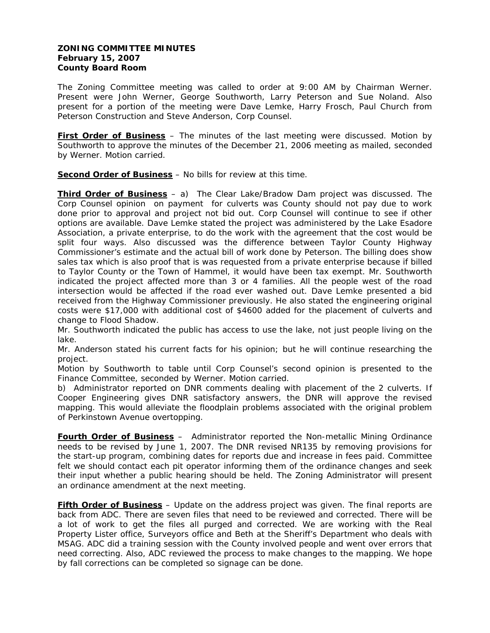# **ZONING COMMITTEE MINUTES February 15, 2007 County Board Room**

The Zoning Committee meeting was called to order at 9:00 AM by Chairman Werner. Present were John Werner, George Southworth, Larry Peterson and Sue Noland. Also present for a portion of the meeting were Dave Lemke, Harry Frosch, Paul Church from Peterson Construction and Steve Anderson, Corp Counsel.

**First Order of Business** – The minutes of the last meeting were discussed. Motion by Southworth to approve the minutes of the December 21, 2006 meeting as mailed, seconded by Werner. Motion carried.

**Second Order of Business** – No bills for review at this time.

**Third Order of Business** – a) The Clear Lake/Bradow Dam project was discussed. The Corp Counsel opinion on payment for culverts was County should not pay due to work done prior to approval and project not bid out. Corp Counsel will continue to see if other options are available. Dave Lemke stated the project was administered by the Lake Esadore Association, a private enterprise, to do the work with the agreement that the cost would be split four ways. Also discussed was the difference between Taylor County Highway Commissioner's estimate and the actual bill of work done by Peterson. The billing does show sales tax which is also proof that is was requested from a private enterprise because if billed to Taylor County or the Town of Hammel, it would have been tax exempt. Mr. Southworth indicated the project affected more than 3 or 4 families. All the people west of the road intersection would be affected if the road ever washed out. Dave Lemke presented a bid received from the Highway Commissioner previously. He also stated the engineering original costs were \$17,000 with additional cost of \$4600 added for the placement of culverts and change to Flood Shadow.

Mr. Southworth indicated the public has access to use the lake, not just people living on the lake.

Mr. Anderson stated his current facts for his opinion; but he will continue researching the project.

Motion by Southworth to table until Corp Counsel's second opinion is presented to the Finance Committee, seconded by Werner. Motion carried.

b) Administrator reported on DNR comments dealing with placement of the 2 culverts. If Cooper Engineering gives DNR satisfactory answers, the DNR will approve the revised mapping. This would alleviate the floodplain problems associated with the original problem of Perkinstown Avenue overtopping.

**Fourth Order of Business** – Administrator reported the Non-metallic Mining Ordinance needs to be revised by June 1, 2007. The DNR revised NR135 by removing provisions for the start-up program, combining dates for reports due and increase in fees paid. Committee felt we should contact each pit operator informing them of the ordinance changes and seek their input whether a public hearing should be held. The Zoning Administrator will present an ordinance amendment at the next meeting.

**Fifth Order of Business** – Update on the address project was given. The final reports are back from ADC. There are seven files that need to be reviewed and corrected. There will be a lot of work to get the files all purged and corrected. We are working with the Real Property Lister office, Surveyors office and Beth at the Sheriff's Department who deals with MSAG. ADC did a training session with the County involved people and went over errors that need correcting. Also, ADC reviewed the process to make changes to the mapping. We hope by fall corrections can be completed so signage can be done.